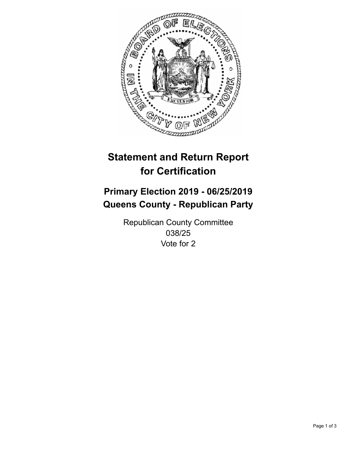

## **Statement and Return Report for Certification**

## **Primary Election 2019 - 06/25/2019 Queens County - Republican Party**

Republican County Committee 038/25 Vote for 2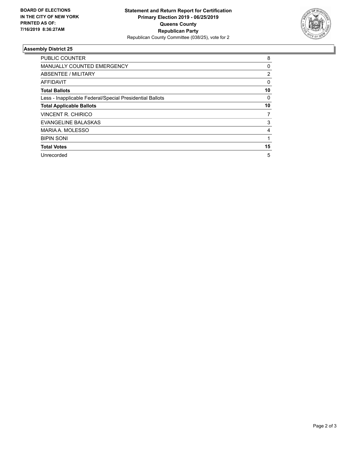

## **Assembly District 25**

| <b>PUBLIC COUNTER</b>                                    | 8        |
|----------------------------------------------------------|----------|
| <b>MANUALLY COUNTED EMERGENCY</b>                        | 0        |
| ABSENTEE / MILITARY                                      | 2        |
| AFFIDAVIT                                                | $\Omega$ |
| <b>Total Ballots</b>                                     | 10       |
| Less - Inapplicable Federal/Special Presidential Ballots | 0        |
| <b>Total Applicable Ballots</b>                          | 10       |
| <b>VINCENT R. CHIRICO</b>                                | 7        |
| EVANGELINE BALASKAS                                      | 3        |
| MARIA A. MOLESSO                                         | 4        |
| <b>BIPIN SONI</b>                                        |          |
| <b>Total Votes</b>                                       | 15       |
| Unrecorded                                               | 5        |